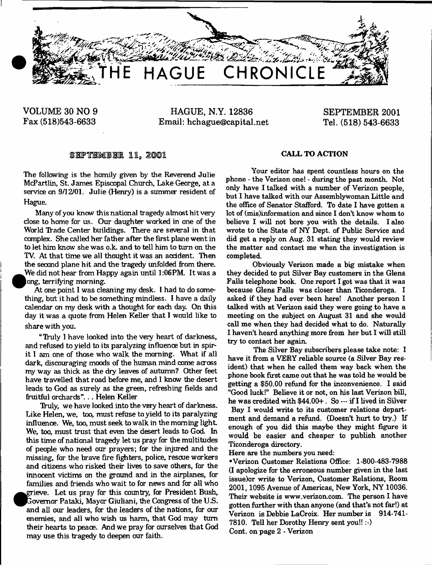

**VOLUME 30 NO 9 HAGUE, N.Y. 12836 SEPTEMBER 2001 Fax (518)543-6633 Email: [hchague@capital.net](mailto:hchague@capital.net) Tel. (518) 543-6633**

# SEPTEMBER 11, 2001 **CALL TO ACTION**

The following is the homily given by the Reverend Julie McPartlin, St. James Episcopal Church, Lake George, at a service on  $9/12/01$ . Julie (Henry) is a summer resident of Hague.

Many of you know this national tragedy almost hitvery close to home for us. Our daughter worked in one of the World Trade Center buildings. There are several in that complex. She called her father after the first plane went in to let him know she was o.k. and to tell him to turn on the TV. At that time we all thought it was an accident. Then the second plane hit and the tragedy unfolded from there. We did not hear from Happy again until 1:06PM. It was a ong, terrifying morning.

At one point I was cleaning my desk. I had to do something, but it had to be something mindless. I have a daily calendar on my desk with a thought for each day. On this day it was a quote from Helen Keller that I would like to share with you.

"Truly I have looked into the very heart of darkness, and refused to yield to its paralyzing influence but in spirit I am one of those who walk the morning. What if all dark, discouraging moods of the human mind come across my way as thick as the dry leaves of autumn? Other feet have travelled that road before me, and I know the desert leads to God as surely as the green, refreshing fields and fruitful orchards". .. Helen Keller

Truly, we have looked into the very heart of darkness. Like Helen, we, too, must refuse to yield to its paralyzing influence. We, too, must seek to walk in the morning light We, too, must trust that even the desert leads to God. In this time of national tragedy let us pray for the multitudes of people who need our prayers; for the injured and the missing, far the brave fire fighters, police, rescue workers and citizens who risked their lives to save others, for the innocent victims on the ground and in the airplanes, for families and friends who wait to for news and for all who ^^grieve. Let us pray far this country, far President Bush, ^^jlavem or Pataki, Mayor Giuliani, the Congress of the U.S. and all our leaders, for the leaders of the nations, far our enemies, and all who wish us harm, that God may turn their hearts to peace. And we pray for ourselves that God may use this tragedy to deepen our faith.

Your editor has spent countless hours on the phone - the Verizon one! - during the past month. Not only have I talked with a number of Verizon people, but I have talked with our Assemblywoman Little and the office of Senator Stafford. To date I have gotten a lot of (mis)information and since I don't know whom to believe I will not bore you with the details. I also wrote to the State of NY Dept, of Public Service and did get a reply on Aug. 31 stating they would review the matter and contact me when the investigation is completed.

Obviously Verizon made a big mistake when they decided to put Silver Bay customers in the Glens Falls telephone book. One report I got was that it was because Glens Falls was closer than Ticonderoga. I asked if they had ever been here! Another person I talked with at Verizon said they were going to have a meeting on the subject on August 31 and she would call me when they had decided what to do. Naturally I haven't heard anything more from her but I will still try to contact her again.

The Silver Bay subscribers please take note: I have it from a VERY reliable source (a Silver Bay resident) that when he called them way back when the phone book first came out that he was told he would be getting a \$50.00 refund for the inconvenience. I said "Good luck!" Believe it or not, on his last Verizon bill, he was credited with \$44.00+. So — if I lived in Silver Bay I would write to its customer relations department and demand a refund. (Doesn't hurt to try.) If enough of you did this maybe they might figure it would be easier and cheaper to publish another Ticonderoga directory.

Here are the numbers you need:

•Verizon Customer Relations Office: 1-800-483-7988 (I apologize for the erroneous number given in the last issue)or write to Verizon, Customer Relations, Room 2001,1095 Avenue of Americas, New York, NY 10036. Their website is [www.verizon.com](http://www.verizon.com). The person I have gotten further with than anyone (and that's not far!) at Verizon is Debbie LaCroix. Her number is 914-741- 7810. Tell her Dorothy Henry sent you!!:-) Cont. on page 2 - Verizon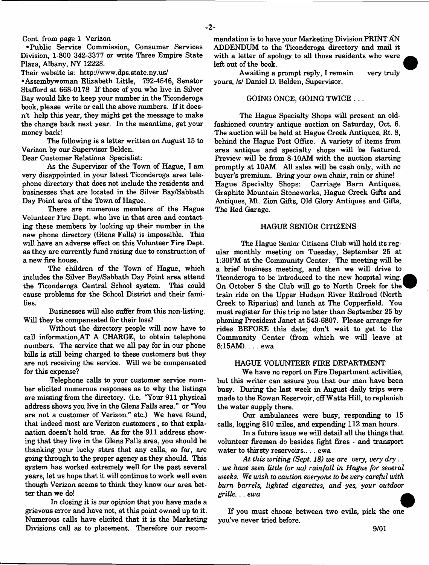$-2-$ 

Cont. from page 1 Verizon

• Public Service Commission, Consumer Services Division, 1-800 342-3377 or write Three Empire State Plaza, Albany, NY 12223.

Their website is: <http://www.dps.state.ny.us/>

•Assembywoman Elizabeth Little, 792-4546, Senator Stafford at 668-0178 If those of you who live in Silver Bay would like to keep your number in the Ticonderoga book, please write or call the above numbers. If it doesn't help this year, they might get the message to make the change back next year. In the meantime, get your money back!

The following is a letter written on August 15 to Verizon by our Supervisor Belden.

Dear Customer Relations Specialist:

As the Supervisor of the Town of Hague, I am very disappointed in your latest Ticonderoga area telephone directory that does not include the residents and businesses that are located in the Silver Bay/Sabbath Day Point area of the Town of Hague.

There are numerous members of the Hague Volunteer Fire Dept, who live in that area and contacting these members by looking up their number in the new phone directory (Glens Falls) is impossible. This will have an adverse effect on this Volunteer Fire Dept. as they are currently fund raising due to construction of a new fire house.

The children of the Town of Hague, which includes the Silver Bay/Sabbath Day Point area attend the Ticonderoga Central School system. This could cause problems for the School District and their families.

Businesses will also suffer from this non-listing. Will they be compensated for their loss?

Without the directory people will now have to call information,AT A CHARGE, to obtain telephone numbers. The service that we all pay for in our phone bills is still being charged to these customers but they are not receiving the service. Will we be compensated for this expense?

Telephone calls to your customer service number elicited numerous responses as to why the listings are missing from the directory, (i.e. "Your 911 physical address shows you live in the Glens Falls area." or "You are not a customer of Verizon." etc.) We have found, that indeed most are Verizon customers , so that explanation doesn't hold true. As for the 911 address showing that they live in the Glens Falls area, you should be thanking your lucky stars that any calls, so far, are going through to the proper agency as they should. This system has worked extremely well for the past several years, let us hope that it will continue to work well even though Verizon seems to think they know our area better than we do!

In closing it is our opinion that you have made a grievous error and have not, at this point owned up to it. Numerous calls have elicited that it is the Marketing Divisions call as to placement. Therefore our recommendation is to have your Marketing Division PRINT AN ADDENDUM to the Ticonderoga directory and mail it with a letter of apology to all those residents who were left out of the book.

Awaiting a prompt reply, I remain very truly yours, /s/ Daniel D. Belden, Supervisor.

### GOING ONCE, GOING TWICE . ..

The Hague Specialty Shops will present an oldfashioned country antique auction on Saturday, Oct. 6. The auction will be held at Hague Creek Antiques, Rt. 8, behind the Hague Post Office. A variety of items from area antique and specialty shops will be featured. Preview will be from 8-10AM with the auction starting promptly at 10AM. All sales will be cash only, with no buyer's premium. Bring your own chair, rain or shine! Hague Specialty Shops: Carriage Bam Antiques, Graphite Mountain Stoneworks, Hague Creek Gifts and Antiques, Mt. Zion Gifts, Old Glory Antiques and Gifts, The Red Garage.

### HAGUE SENIOR CITIZENS

The Hague Senior Citizens Club will hold its regular monthly meeting on Tuesday, September 25 at 1:30PM at the Community Center. The meeting will be a brief business meeting, and then we will drive to Ticonderoga to be introduced to the new hospital wing. On October 5 the Club will go to North Creek for the train ride on the Upper Hudson River Railroad (North Creek to Riparius) and lunch at The Copperfield. You must register for this trip no later than September 25 by phoning President Janet at 543-6807. Please arrange for rides BEFORE this date; don't wait to get to the Community Center (from which we will leave at 8:15AM). . .. ewa

#### HAGUE VOLUNTEER FIRE DEPARTMENT

We have no report on Fire Department activities, but this writer can assure you that our men have been busy. During the last week in August daily trips were made to the Rowan Reservoir, off Watts Hill, to replenish the water supply there.

Our ambulances were busy, responding to 15 calls, logging 810 miles, and expending 112 man hours.

In a future issue we will detail all the things that volunteer firemen do besides fight fires - and transport water to thirsty reservoirs... . ewa

*At this writing (Sept. 18) we are very, very dry*.. . *we have seen little (or no) rainfall in Hague for several weeks. We wish to caution everyone to be very careful with bum barrels, lighted cigarettes, and yes, your outdoor grille... ewa*

If you must choose between two evils, pick the one you've never tried before.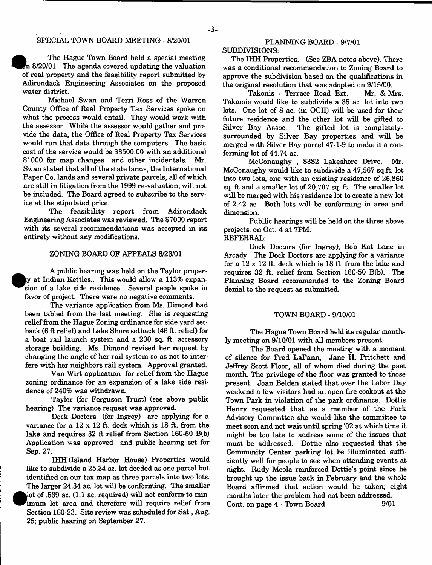## SPECIAL TOWN BOARD MEETING - 8/20/01

The Hague Town Board held a special meeting In 8/20/01. The agenda covered updating the valuation of real property and the feasibility report submitted by Adirondack Engineering Associates on the proposed water district.

Michael Swan and Terri Ross of the Warren County Office of Real Property Tax Services spoke on what the process would entail. They would work with the assessor. While the assessor would gather and provide the data, the Office of Real Property Tax Services would run that data through the computers. The basic cost of the service would be \$3500.00 with an additional \$1000 for map changes and other incidentals. Mr. Swan stated that all of the state lands, the International Paper Co. lands and several private parcels, all of which are still in litigation from the 1999 re-valuation, will not be included. The Board agreed to subscribe to the service at the stipulated price.

The feasibility report from Adirondack Engineering Associates was reviewed. The \$7000 report with its several recommendations was accepted in its entirety without any modifications.

#### ZONING BOARD OF APPEALS 8/23/01

A public hearing was held on the Taylor proper ty at Indian Kettles.. This would allow a 113% expan-^^sion of a lake side residence. Several people spoke in favor of project. There were no negative comments.

The variance application from Ms. Dimond had been tabled from the last meeting. She is requesting relief from the Hague Zoning ordinance for side yard setback (6 ft relief) and Lake Shore setback (46 ft. relief) for a boat rail launch system and a 200 sq. ft. accessory storage building. Ms. Dimond revised her request by changing the angle of her rail system so as not to interfere with her neighbors rail system. Approval granted.

Van Wirt application for relief from the Hague zoning ordinance for an expansion of a lake side residence of 240% was withdrawn.

Taylor (for Ferguson Trust) (see above public hearing) The variance request was approved.

Dock Doctors (for Ingrey) are applying for a variance for a  $12 \times 12$  ft. deck which is  $18$  ft. from the lake and requires 32 ft relief from Section 160-50 B(b) Application was approved and public hearing set for Sep. 27.

IHH (Island Harbor House) Properties would like to subdivide a 25.34 ac. lot deeded as one parcel but identified on our tax map as three parcels into two lots. The larger 24.34 ac. lot will be conforming. The smaller <sup>•</sup> lot of .539 ac. (1.1 ac. required) will not conform-to minimum lot area and therefore will require relief from Section 160-23. Site review was scheduled for Sat., Aug. 25; public hearing on September 27.

# PLANNING BOARD - 9/7/01

SUBDIVISIONS: The IHH Properties. (See ZBA notes above). There was a conditional recommendation to Zoning Board to approve the subdivision based on the qualifications in

the original resolution that was adopted on 9/15/00. Takonis - Terrace Road Ext. Mr. & Mrs. Takomis would like to subdivide a 35 ac. lot into two lots. One lot of 8 ac. (in OCII) will be used for their future residence and the other lot will be gifted to Silver Bay Assoc. The gifted lot is completelysurrounded by Silver Bay properties and will be merged with Silver Bay parcel 47-1-9 to make it a conforming lot of 44.74 ac.

McConaughy , 8382 Lakeshore Drive. Mr. McConaughy would like to subdivide a 47,567 sq.ft. lot into two lots, one with an existing residence of 26,860 sq. ft and a smaller lot of 20,707 sq. ft. The smaller lot will be merged with his residence lot to create a new lot of 2.42 ac. Both lots will be conforming in area and dimension.

Publlic hearings will be held on the three above projects, on Oct. 4 at 7PM.

REFERRAL:

Dock Doctors (for Ingrey), Bob Kat Lane in Arcady. The Dock Doctors are applying for a variance for a 12 x 12 ft. deck which is 18 ft. from the lake and requires 32 ft. relief from Section 160-50 B(b). The Planning Board recommended to the Zoning Board denial to the request as submitted

#### TOWN BOARD - 9/10/01

The Hague Town Board held its regular monthly meeting on 9/10/01 with all members present.

The Board opened the meeting with a moment of silence for Fred LaPann, Jane H. Pritchett and Jeffrey Scott Floor, all of whom died during the past month. The privilege of the floor was granted to those present. Joan Belden stated that over the Labor Day weekend a few visitors had an open fire cookout at the Town Park in violation of the park ordinance. Dottie Henry requested that as a member of the Park Advisory Committee she would like the committee to meet soon and not wait until spring '02 at which time it might be too late to address some of the issues that must be addressed. Dottie also requested that the Community Center parking lot be illuminated sufficiently well for people to see when attending events at night. Rudy Meola reinforced Dottie's point since he brought up the issue back in February and the whole Board affirmed that action would be taken; eight months later the problem had not been addressed. Cont. on page 4 - Town Board 9/01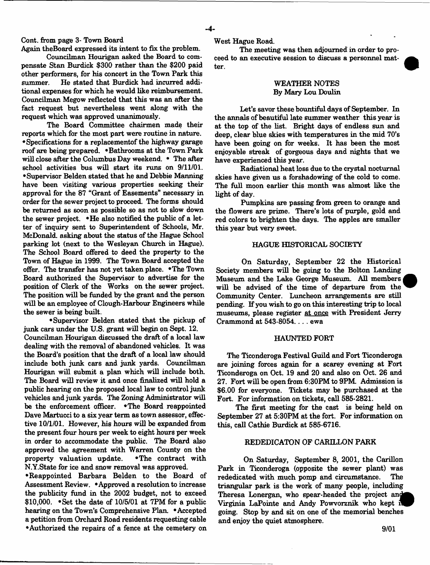### Cont. from page 3- Town Board

Again theBoard expressed its intent to fix the problem.

Councilman Hourigan asked the Board to compensate Stan Burdick \$300 rather than the \$200 paid other performers, for his concert in the Town Park this summer. He stated that Burdick had incurred additional expenses for which he would like reimbursement. Councilman Megow reflected that this was an after the fact request but nevertheless went along with the request which was approved unanimously.

The Board Committee chairmen made their reports which for the most part were routine in nature. •Specifications for a replacementof the highway garage roof are being prepared. •Bathrooms at the Town Park will close after the Columbus Day weekend. • The after school activities bus will start its runs on 9/11/01. •Supervisor Belden stated that he and Debbie Manning have been visiting various properties seeking their approval for the 87 "Grant of Easements" necessary in order for the sewer project to proceed. The forms should be returned as soon as possible so as not to slow down the sewer project. •He also notified the public of a letter of inquiry sent to Superintendent of Schools, Mr. McDonald, asking about the status of the Hague School parking lot (next to the Wesleyan Church in Hague). The School Board offered to deed the property to the Town of Hague in 1999. The Town Board accepted the offer. The transfer has not yet taken place. •The Town Board authorized the Supervisor to advertise for the position of Clerk of the Works on the sewer project. The position will be funded by the grant and the person will be an employee of Clough-Harbour Engineers while the sewer is being built.

•Supervisor Belden stated that the pickup of junk cars under the U.S. grant will begin on Sept. 12. Councilman Hourigan discussed the draft of a local law dealing with the removal of abandoned vehicles. It was the Board's position that the draft of a local law should include both junk cars and junk yards. Councilman Hourigan will submit a plan which will include both The Board will review it and once finalized will hold a public hearing on the proposed local law to control junk vehicles and junk yards. The Zoning Administrator will be the enforcement officer. \*The Board reappointed Dave Martucci to a six year term as town assessor, effective 10/1/01. However, his hours will be expanded from the present four hours per week to eight hours per week in order to accommodate the public. The Board also approved the agreement with Warren County on the property valuation update. .The contract with N.Y.State for ice and snow removal was approved.

•Reappointed Barbara Belden to the Board of Assessment Review. • Approved a resolution to increase the publicity fund in the 2002 budget, not to exceed \$10,000. \*Set the date of 10/5/01 at 7PM for a public hearing on the Town's Comprehensive Plan. •Accepted a petition from Orchard Road residents requesting cable ♦Authorized the repairs of a fence at the cemetery on West Hague Road.

The meeting was then adjourned in order to proceed to an executive session to discuss a personnel matter.

## WEATHER NOTES By Mary Lou Doulin

Let's savor these bountiful days of September. In the annals of beautiful late summer weather this year is at the top of the list. Bright days of endless sun and deep, clear blue skies with temperatures in the mid 70's have been going on for weeks. It has been the most enjoyable streak of gorgeous days and nights that we have experienced this year.

Radiational heat loss due to the crystal nocturnal skies have given us a forshadowing of the cold to come. The full moon earlier this month was almost like the light of day.

Pumpkins are passing from green to orange and the flowers are prime. There's lots of purple, gold and red colors to brighten the days. The apples are smaller this year but very sweet.

#### HAGUE HISTORICAL SOCIETY

On Saturday, September 22 the Historical Society members will be going to the Bolton Landing Museum and the Lake George Museum. All members will be advised of the time of departure from the Community Center. Luncheon arrangements are still pending. If you wish to go on this interesting trip to local museums, please register at once with President Jerry Crammond at 543-8054... . ewa

#### HAUNTED FORT

The Ticonderoga Festival Guild and Fort Ticonderoga are joining forces again for a scarey evening at Fort Ticonderoga on Oct. 19 and 20 and also on Oct. 26 and 27. Fort will be open from 6:30PM to 9PM Admission is \$6.00 for everyone. Tickets may be purchased at the Fort. For information on tickets, call 585-2821.

The first meeting for the cast is being held on September 27 at 5:30PM at the fort. For information on this, call Cathie Burdick at 585-6716.

## REDEDICATON OF CARILLON PARK

On Saturday, September 8, 2001, the Carillon Park in Ticonderoga (opposite the sewer plant) was rededicated with much pomp and circumstance. The triangular park is the work of many people, including Theresa Lonergan, who spear-headed the project and^^ Virginia LaPointe and Andy Powvorznik who kept going. Stop by and sit on one of the memorial benches and enjoy the quiet atmosphere.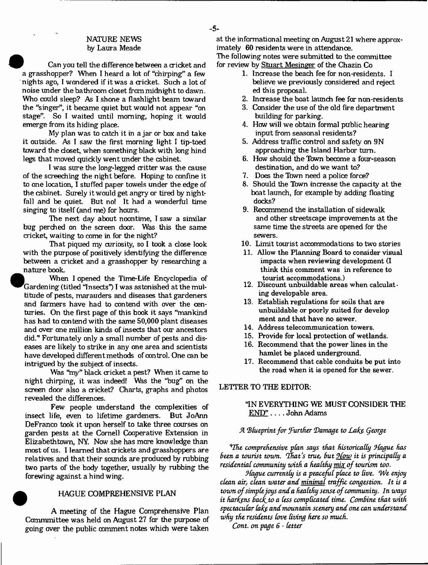## NATURE NEWS by Laura Meade

Can you tell the difference between a cricket and a grasshopper? When I heard a lot of "chirping" a few nights ago. I wondered if it was a cricket. Such a lot of noise under the bathroom doset from midnight to dawn. Who could sleep? As I shone a flashlight beam toward the "singer", it became quiet but would not appear "on stage". So I waited until morning, hoping it would emerge from its hiding place.

My plan was to catch it in a jar or box and take it outside. As I saw the first morning light I tip-toed toward the doset, when something black with long hind legs that moved quickly went under the cabinet.

I was sure the long-legged critter was the cause of the screeching the night before. Hoping to confine it to one location, I stuffed paper towels under the edge of the cabinet. Surely it would get angry or tired by nightfall and be quiet. But no! It had a wonderful time singing to itself (and me) for hours.

The next day about noontime, I saw a similar bug perched on the screen door. Was this the same cricket, waiting to come in for the night?

That piqued my curiosity, so I took a dose look with the purpose of positively identifying the difference between a cricket and a grasshopper by researching a nature book.

• When I opened the Time-Life Encyclopedia of Gardening (titled "Insects") I was astonished at the multitude of pests, marauders and diseases that gardeners and farmers have had to contend with over the centuries. On the first page of this book it says "mankind has had to contend with the same 50,000 plant diseases and over one million kinds of insects that our ancestors did." Fortunately only a small number of pests and diseases are likely to strike in any one area and scientists have developed different methods of control. One can be intrigued by the subject of insects.

Was "my" black cricket a pest? When it came to night chirping, it was indeed! Whs the "bug" on the screen door also a cricket? Charts, graphs and photos revealed the differences.

Few people understand the complexities of insect life, even to lifetime gardeners. But JoAnn DeFranco took it upon herself to take three courses on garden pests at the Cornell Cooperative Extension in Elizabethtown, NY. Now she has more knowledge than most of us. I learned that crickets and grasshoppers are relatives and that their sounds are produced by rubbing two parts of the body together, usually hy rubbing the forewing against a hind wing.

## £ HAGUE COMPREHENSIVE PLAN

A meeting of the Hague Comprehensive Plan Cammmittee was held on August 27 far the purpose of going over the public comment notes which were taken at the informational meeting on August 21 where approximately 60 residents were in attendance. The following notes were submitted to the committee for review by Stuart Mesinger of the Chazin Co

- 1. Increase the beach fee for non-residents. I believe we previously considered and reject. ed this proposal.
- 2. Increase the boat launch fee far non-residents
- 3. Consider the use of the old fire department building for parking.
- 4. How will we obtain formal public hearing input from seasonal residents?
- 5. Address traffic control and safety on 9N approadiing the Island Harbor turn.
- 6. How should the Town become a four-season destination, and do we want to?
- 7. Does the Town need a police force?
- 8. Should the Town increase the capacity at the boat launch, for example by adding floating docks?
- 9. Recommend the installation of sidewalk and other streets cape improvements at the same time the streets are opened for the sewers.
- 10. Limit tourist accommodations to two stories
- 11. Allow the Planning Board to consider visual impacts when reviewing development (I think this comment was in reference to tourist accommodations.)
- 12. Discount unbuildable areas when calculating developable area.
- 13. Establish regulations for soils that are unbuildable or poorly suited for develop ment and that have no sewer.
- 14. Address telecommunication towers.
- 15. Provide for local protection of wetlands.
- 16. Recommend that the power lines in the hamlet be placed underground.
- 17. Recommend that cable conduits be put into the road when it is opened for the sewer.

LETTER TO THE EDITOR:

## "IN EVERYTHING WE MUST CONSIDER THE END" . . . . John Adams

## *A \*B(ueprintfor further (Damage to Lake Qeorge*

*VJhe comprehensive plan says that historically LLague has Been a tourist toum. fhat's true, But 9low it is principally a residential community with a healthy mix of tourism too.*

*9-fague currently is a peaceful place to Uve. We enjoy clean air, clean water and minimal traffic congestion. It is a town of simple joys and a healthy sense of community. In ways it harfens Backito a (ess complicated time. ComBine that with spectacular (afe and mountain scenery and one can understand why the residents love living here so much.*

*Cont. on page 6* - *letter*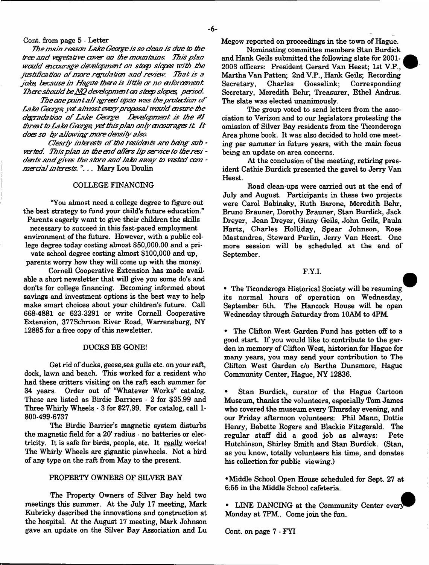#### Cont. from page 5 - Letter

*The main reason Lake George is so dean is dire to toe tree and v^etative cover on toe mountains. This plan wouid mcomage developmmt. on strip slopes with toe* justification of more regulation and review. That is a *joke because in Hague toet'e is little or'no mfor cement. There should be NO devdopmm ton steep slopes, period.*

The one point all agreed upon was the protection of *Lake George yet almost every proposal would msure toe* degradation of Lake George Development is the #1 *threat to Lake George, yet this plan only mcourages it. I t doesso by allowing more density also.*

*Clearly interests of the residents are being sub* verted. This plan in the end offers lip service to the resi *dints and gives the store and lake away to vested com mercial interests.*"... Mary Lou Doulin

## COLLEGE FINANCING

"You almost need a college degree to figure out the best strategy to fund your child's future education." Parents eagerly want to give their children the skills

necessary to succeed in this fast-paced employment environment of the future. However, with a public college degree today costing almost \$50,000.00 and a pri-

vate school degree costing almost \$100,000 and up, parents worry how they will come up with the money.

Cornell Cooperative Extension has made available a short newsletter that will give you some do's and don'ts for college financing. Becoming informed about savings and investment options is the best way to help make smart choices about your children's future. Call 668-4881 or 623-3291 or write Cornell Cooperative Extension, 377Schroon River Road, Warrensburg, NY 12885 for a free copy of this newsletter.

### DUCKS BE GONE!

Get rid of ducks, geese, sea gulls etc. on your raft, dock, lawn and beach. This worked for a resident who had these critters visiting on the raft each summer for 34 years. Order out of "Whatever Works" catalog. These are listed as Birdie Barriers - 2 for \$35.99 and Three Whirly Wheels - 3 for \$27.99. For catalog, call 1- 800-499-6737

The Birdie Barrier's magnetic system disturbs the magnetic field for a 20' radius - no batteries or electricity. It is safe for birds, people, etc. It really works! The Whirly Wheels are gigantic pinwheels. Not a bird of any type on the raft from May to the present.

## PROPERTY OWNERS OF SILVER BAY

The Property Owners of Silver Bay held two meetings this summer. At the July 17 meeting, Mark Kubricky described the innovations and construction at the hospital. At the August 17 meeting, Mark Johnson gave an update on the Silver Bay Association and Lu Megow reported on proceedings in the town of Hague.

Nominating committee members Stan Burdick and Hank Geils submitted the following slate for 200L 2003 officers: President Gerard Van Heest; 1st V.P., Martha Van Patten; 2nd V.P., Hank Geils; Recording Corresponding Secretary, Meredith Behr; Treasurer, Ethel Andrus. The slate was elected unanimously.

The group voted to send letters from the association to Verizon and to our legislators protesting the omission of Silver Bay residents from the Ticonderoga Area phone book. It was also decided to hold one meeting per summer in future years, with the main focus being an update on area concerns.

At the conclusion of the meeting, retiring president Cathie Burdick presented the gavel to Jerry Van Heest.

Road clean-ups were carried out at the end of July and August. Participants in these two projects were Carol Babinsky, Ruth Barone, Meredith Behr, Bruno Brauner, Dorothy Brauner, Stan Burdick, Jack Dreyer, Jean Dreyer, Ginny Geils, John Geils, Paula Hartz, Charles Holliday, Spear Johnson, Rose Mastandrea, Steward Parlin, Jerry Van Heest. One more session will be scheduled at the end of September.

#### F.Y.I.

• The Ticonderoga Historical Society will be resuming its normal hours of operation on Wednesday, September 5th. The Hancock House will be open Wednesday through Saturday from 10AM to 4PM.

• The Clifton West Garden Fund has gotten off to a good start. If you would like to contribute to the garden in memory of Clifton West, historian for Hague for many years, you may send your contribution to The Clifton West Garden c/o Bertha Dunsmore, Hague Community Center, Hague, NY 12836.

Stan Burdick, curator of the Hague Cartoon Museum, thanks the volunteers, especially Tom James who covered the museum every Thursday evening, and our Friday afternoon volunteers: Phil Mann, Dottie Henry, Babette Rogers and Blackie Fitzgerald. The regular staff did a good job as always: Pete Hutchinson, Shirley Smith and Stan Burdick. (Stan, as you know, totally volunteers his time, and donates his collection for public viewing.)

•Middle School Open House scheduled for Sept. 27 at 6:55 in the Middle School cafeteria.

• LINE DANCING at the Community Center every Monday at 7PM. Come join the fun.

Cont. on page 7 - FYI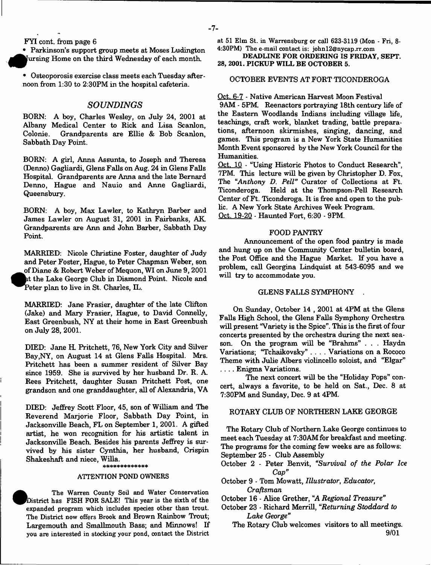#### FYI cont. from page 6

• Parkinson's support group meets at Moses Ludington jursing Home on the third Wednesday of each month.

• Osteoporosis exercise class meets each Tuesday afternoon from 1:30 to 2:30PM in the hospital cafeteria.

## *SOUNDINGS*

BORN: A boy, Charles Wesley, on July 24, 2001 at Albany Medical Center to Rick and Lisa Scanlon, Colonie. Grandparents are Ellie & Bob Scanlon, Sabbath Day Point.

BORN: A girl, Anna Assunta, to Joseph and Theresa (Denno) Gagliardi, Glens Falls on Aug. 24 in Glens Falls Hospital. Grandparents are Anna and the late Bernard Denno, Hague and Nauio and Anne Gagliardi, Queensbury.

BORN: A boy, Max Lawler, to Kathryn Barber and James Lawler on August 31, 2001 in Fairbanks, AK Grandparents are Ann and John Barber, Sabbath Day Point.

MARRIED: Nicole Christine Foster, daughter of Judy and Peter Foster, Hague, to Peter Chapman Weber, son of Diane & Robert Weber of Mequon, WI on June 9, 2001 at the Lake George Club in Diamond Point. Nicole and Peter plan to live in St. Charles, IL.

MARRIED: Jane Frasier, daughter of the late Clifton (Jake) and Mary Frasier, Hague, to David Connelly, East Greenbush, NY at their home in East Greenbush on July 28, 2001.

DIED: Jane H. Pritchett, 76, New York City and Silver Bay,NY, on August 14 at Glens Falls Hospital. Mrs. Pritchett has been a summer resident of Silver Bay since 1959. She is survived by her husband Dr. R. A. Rees Pritchett, daughter Susan Pritchett Post, one grandson and one granddaughter, all of Alexandria, VA

DIED: Jeffrey Scott Floor, 45, son of William and The Reverend Marjorie Floor, Sabbath Day Point, in Jacksonville Beach, FL on September 1, 2001. A gifted artist, he won recognition for his artistic talent in Jacksonville Beach. Besides his parents Jeffrey is survived by his sister Cynthia, her husband, Crispin Shakeshaft and niece, Willa.

#### ATTENTION POND OWNERS

**•**  The Warren County Soil and Water Conservation District has FISH FOR SALE! This year is the sixth of the expanded program which includes species other than trout. The District now offers Brook and Brown Rainbow Trout; Largemouth and Smallmouth Bass; and Minnows! If you are interested in stocking your pond, contact the District

at 51 Elm St. in Warrensburg or call 623-3119 (Mon - Fri, 8- 4:30PM) The e-mail contact is: [johnl2@nycap.rr.com](mailto:johnl2@nycap.rr.com)

DEADLINE FOR ORDERING IS FRIDAY, SEPT. 28, 2001. PICKUP WILL BE OCTOBER 5.

### OCTOBER EVENTS AT FORT TICONDEROGA

#### Oct. 6-7 - Native American Harvest Moon Festival

9AM - 5PM. Reenactors portraying 18th century life of the Eastern Woodlands Indians including village life, teachings, craft work, blanket trading, battle preparations, afternoon skirmishes, singing, dancing, and games. This program is a New York State Humanities Month Event sponsored by the New York Council for the Humanities.

Oct. 10 - "Using Historic Photos to Conduct Research", 7PM. This lecture will be given by Christopher D. Fox, The "Anthony D. Pell" Curator of Collections at Ft. Ticonderoga. Held at the Thompson-Pell Research Center of Ft. Ticonderoga. It is free and open to the public. A New York State Archives Week Program. Oct. 19-20 - Haunted Fort, 6:30 - 9PM.

#### FOOD PANTRY

Announcement of the open food pantry is made and hung up on the Community Center bulletin board, the Post Office and the Hague Market. If you have a problem, call Georgina Lindquist at 543-6095 and we will try to accommodate you.

#### GLENS FALLS SYMPHONY .

On Sunday, October 14 , 2001 at 4PM at the Glens Falls High School, the Glens Falls Symphony Orchestra will present "Variety is the Spice". This is the first of four concerts presented by the orchestra during the next season. On the program will be "Brahms" . . . Haydn Variations; "Tchaikovsky" .... Variations on a Rococo Theme with Julie Albers violincello soloist, and "Elgar" .... Enigma Variations.

The next concert will be the "Holiday Pops" concert, always a favorite, to be held on Sat., Dec. 8 at 7:30PM and Sunday, Dec. 9 at 4PM.

#### ROTARY CLUB OF NORTHERN LAKE GEORGE

The Rotary Club of Northern Lake George continues to meet each Tuesday at 7:30AM for breakfast and meeting. The programs for the coming few weeks are as follows: September 25 - Club Assembly

October 2 - Peter Benvit, *"Survival of the Polar Ice Cap*"

- October 9 Tom Mowatt, *Illustrator*, *Educator*, *Craftsman*
- October 16 Alice Grether, "A *Regional Treasure"*
- October 23 Richard Merrill, "*Returning Stoddard to Lake George*"
	- The Rotary Club welcomes visitors to all meetings. 9/01